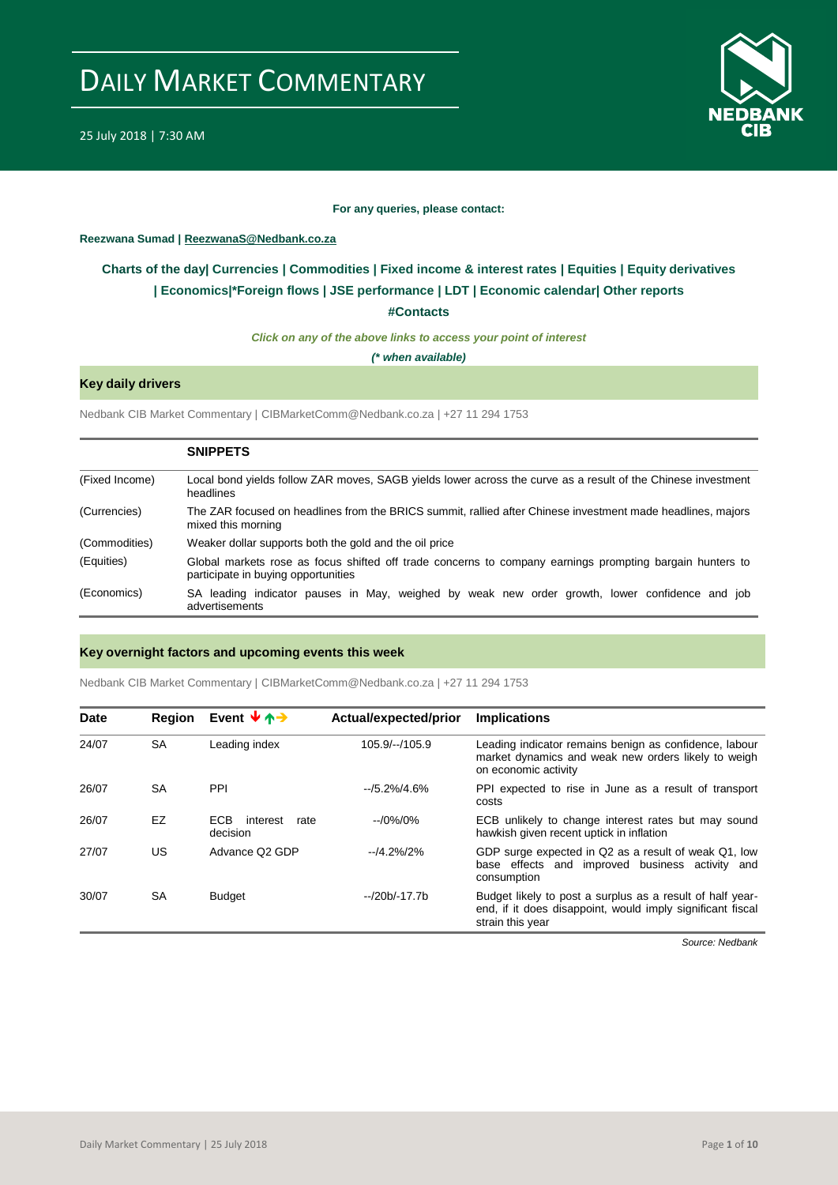

#### **For any queries, please contact:**

#### <span id="page-0-0"></span>**Reezwana Sumad | ReezwanaS@Nedbank.co.za**

### **Charts of the day| [Currencies](#page-2-0) [| Commodities](#page-3-0) | [Fixed income & interest rates](#page-1-0) | [Equities](#page-4-0) | Equity derivatives | [Economics|\\*](#page-6-0)Foreign flows [| JSE performance](#page-4-1) | LDT | [Economic calendar|](#page-7-0) Other reports**

**[#Contacts](#page-8-0)**

*Click on any of the above links to access your point of interest*

*(\* when available)*

#### **Key daily drivers**

Nedbank CIB Market Commentary | CIBMarketComm@Nedbank.co.za | +27 11 294 1753

|                | <b>SNIPPETS</b>                                                                                                                                 |  |  |  |  |  |  |
|----------------|-------------------------------------------------------------------------------------------------------------------------------------------------|--|--|--|--|--|--|
| (Fixed Income) | Local bond yields follow ZAR moves, SAGB yields lower across the curve as a result of the Chinese investment<br>headlines                       |  |  |  |  |  |  |
| (Currencies)   | The ZAR focused on headlines from the BRICS summit, rallied after Chinese investment made headlines, majors<br>mixed this morning               |  |  |  |  |  |  |
| (Commodities)  | Weaker dollar supports both the gold and the oil price                                                                                          |  |  |  |  |  |  |
| (Equities)     | Global markets rose as focus shifted off trade concerns to company earnings prompting bargain hunters to<br>participate in buying opportunities |  |  |  |  |  |  |
| (Economics)    | SA leading indicator pauses in May, weighed by weak new order growth, lower confidence and job<br>advertisements                                |  |  |  |  |  |  |

#### **Key overnight factors and upcoming events this week**

Nedbank CIB Market Commentary | CIBMarketComm@Nedbank.co.za | +27 11 294 1753

| Date  | <b>Region</b> | Event $\forall \uparrow \rightarrow$       | Actual/expected/prior | <b>Implications</b>                                                                                                                         |
|-------|---------------|--------------------------------------------|-----------------------|---------------------------------------------------------------------------------------------------------------------------------------------|
| 24/07 | <b>SA</b>     | Leading index                              | $105.9/-/105.9$       | Leading indicator remains benign as confidence, labour<br>market dynamics and weak new orders likely to weigh<br>on economic activity       |
| 26/07 | <b>SA</b>     | PPI                                        | $-15.2\%/4.6\%$       | PPI expected to rise in June as a result of transport<br>costs                                                                              |
| 26/07 | EZ            | <b>ECB</b><br>interest<br>rate<br>decision | --/0%/0%              | ECB unlikely to change interest rates but may sound<br>hawkish given recent uptick in inflation                                             |
| 27/07 | US            | Advance Q2 GDP                             | $-14.2\%/2\%$         | GDP surge expected in Q2 as a result of weak Q1, low<br>base effects and improved business activity and<br>consumption                      |
| 30/07 | <b>SA</b>     | <b>Budget</b>                              | --/20b/-17.7b         | Budget likely to post a surplus as a result of half year-<br>end, if it does disappoint, would imply significant fiscal<br>strain this year |

*Source: Nedbank*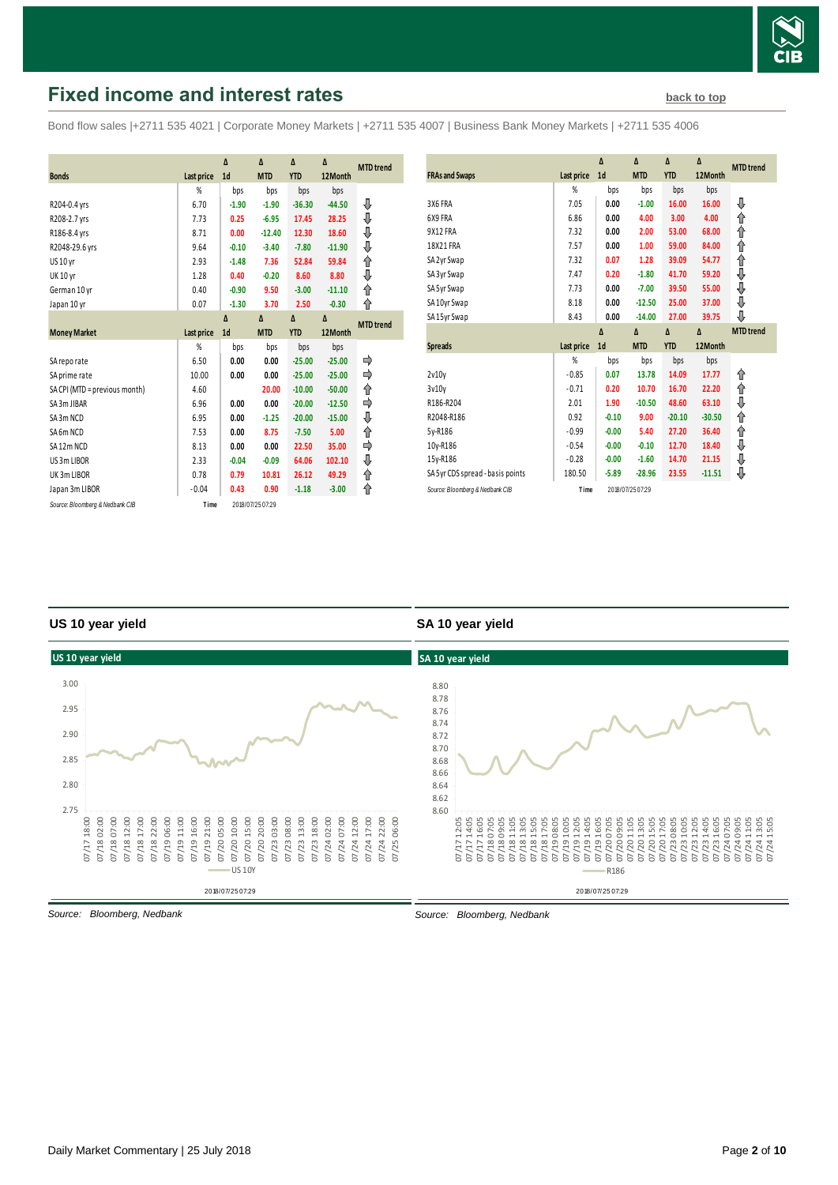

# <span id="page-1-0"></span>**Fixed income and interest rates [back to top](#page-0-0) back to top**

Bond flow sales |+2711 535 4021 | Corporate Money Markets | +2711 535 4007 | Business Bank Money Markets | +2711 535 4006

|                                 |                   | Δ              | Δ                | $\Delta$   | Δ        | <b>MTD</b> trend |
|---------------------------------|-------------------|----------------|------------------|------------|----------|------------------|
| <b>Bonds</b>                    | Last price        | 1 <sub>d</sub> | <b>MTD</b>       | <b>YTD</b> | 12Month  |                  |
|                                 | %                 | bps            | bps              | bps        | bps      |                  |
| R204-0.4 yrs                    | 6.70              | $-1.90$        | $-1.90$          | $-36.30$   | $-44.50$ | ⊕                |
| R208-2.7 yrs                    | 7.73              | 0.25           | $-6.95$          | 17.45      | 28.25    | ⇓                |
| R186-8.4 yrs                    | 8.71              | 0.00           | $-12.40$         | 12.30      | 18.60    | ⇓                |
| R2048-29.6 yrs                  | 9.64              | $-0.10$        | $-3.40$          | $-7.80$    | $-11.90$ | ⊕                |
| US 10 yr                        | 2.93              | $-1.48$        | 7.36             | 52.84      | 59.84    | ⇑                |
| <b>UK 10 yr</b>                 | 1.28              | 0.40           | $-0.20$          | 8.60       | 8.80     | ⇓                |
| German 10 yr                    | 0.40              | $-0.90$        | 9.50             | $-3.00$    | $-11.10$ | ↑                |
| Japan 10 yr                     | 0.07              | $-1.30$        | 3.70             | 2.50       | $-0.30$  | ⇑                |
|                                 |                   | $\Lambda$      | $\Lambda$        | Δ          | Δ        | <b>MTD</b> trend |
| <b>Money Market</b>             | <b>Last price</b> | 1 <sub>d</sub> | <b>MTD</b>       | <b>YTD</b> | 12Month  |                  |
|                                 | %                 | bps            | bps              | bps        | bps      |                  |
| SA reporate                     | 6.50              | 0.00           | 0.00             | $-25.00$   | $-25.00$ | ⇛                |
| SA prime rate                   | 10.00             | 0.00           | 0.00             | $-25.00$   | $-25.00$ | ⇛                |
| SA CPI (MTD = previous month)   | 4.60              |                | 20.00            | $-10.00$   | $-50.00$ | ↑                |
| SA 3m JIBAR                     | 6.96              | 0.00           | 0.00             | $-20.00$   | $-12.50$ | ⇛                |
| SA3m NCD                        | 6.95              | 0.00           | $-1.25$          | $-20.00$   | $-15.00$ | ⇓                |
| SA6m NCD                        | 7.53              | 0.00           | 8.75             | $-7.50$    | 5.00     | ↟                |
| SA12m NCD                       | 8.13              | 0.00           | 0.00             | 22.50      | 35.00    |                  |
| US 3m LIBOR                     | 2.33              | $-0.04$        | $-0.09$          | 64.06      | 102.10   | ⇓                |
| UK3mLIBOR                       | 0.78              | 0.79           | 10.81            | 26.12      | 49.29    | ↟                |
| Japan 3m LIBOR                  | $-0.04$           | 0.43           | 0.90             | $-1.18$    | $-3.00$  | ⇑                |
| Source: Bloomberg & Nedbank CIB | Time              |                | 2018/07/25 07:29 |            |          |                  |

| <b>FRAs and Swaps</b>            | Last price | Δ<br>1 <sub>d</sub> | Δ<br><b>MTD</b> | Δ<br><b>YTD</b> | Δ<br>12Month | <b>MTD</b> trend |
|----------------------------------|------------|---------------------|-----------------|-----------------|--------------|------------------|
|                                  | %          | bps                 | bps             | bps             | bps          |                  |
| 3X6 FRA                          | 7.05       | 0.00                | $-1.00$         | 16.00           | 16.00        | ⊕                |
| 6X9 FRA                          | 6.86       | 0.00                | 4.00            | 3.00            | 4.00         | ⇑                |
| 9X12 FRA                         | 7.32       | 0.00                | 2.00            | 53.00           | 68.00        | ⇑                |
| 18X21 FRA                        | 7.57       | 0.00                | 1.00            | 59.00           | 84.00        | ⇑                |
| SA 2yr Swap                      | 7.32       | 0.07                | 1.28            | 39.09           | 54.77        | ⇑                |
| SA 3yr Swap                      | 7.47       | 0.20                | $-1.80$         | 41.70           | 59.20        | ⇓                |
| SA 5yr Swap                      | 7.73       | 0.00                | $-7.00$         | 39.50           | 55.00        | ⇓                |
| SA 10yr Swap                     | 8.18       | 0.00                | $-12.50$        | 25.00           | 37.00        | ⇓                |
| SA 15yr Swap                     | 8.43       | 0.00                | $-14.00$        | 27.00           | 39.75        | ⊕                |
|                                  |            |                     |                 |                 |              |                  |
|                                  |            | Δ                   | $\Delta$        | Δ               | Δ            | <b>MTD</b> trend |
| <b>Spreads</b>                   | Last price | 1 <sub>d</sub>      | <b>MTD</b>      | <b>YTD</b>      | 12Month      |                  |
|                                  | %          | bps                 | bps             | bps             | bps          |                  |
| 2v10v                            | $-0.85$    | 0.07                | 13.78           | 14.09           | 17.77        | ⇑                |
| 3v10v                            | $-0.71$    | 0.20                | 10.70           | 16.70           | 22.20        | ⇑                |
| R186-R204                        | 2.01       | 1.90                | $-10.50$        | 48.60           | 63.10        | ⇓                |
| R2048-R186                       | 0.92       | $-0.10$             | 9.00            | $-20.10$        | $-30.50$     | ⇑                |
| 5y-R186                          | $-0.99$    | $-0.00$             | 5.40            | 27.20           | 36.40        | ⇑                |
| 10y-R186                         | $-0.54$    | $-0.00$             | $-0.10$         | 12.70           | 18.40        | ⇓                |
| 15y-R186                         | $-0.28$    | $-0.00$             | $-1.60$         | 14.70           | 21.15        | ⇓                |
| SA 5yr CDS spread - basis points | 180.50     | $-5.89$             | $-28.96$        | 23.55           | $-11.51$     | ⊕                |

#### **US 10 year yield**

#### **SA 10 year yield**



*Source: Bloomberg, Nedbank*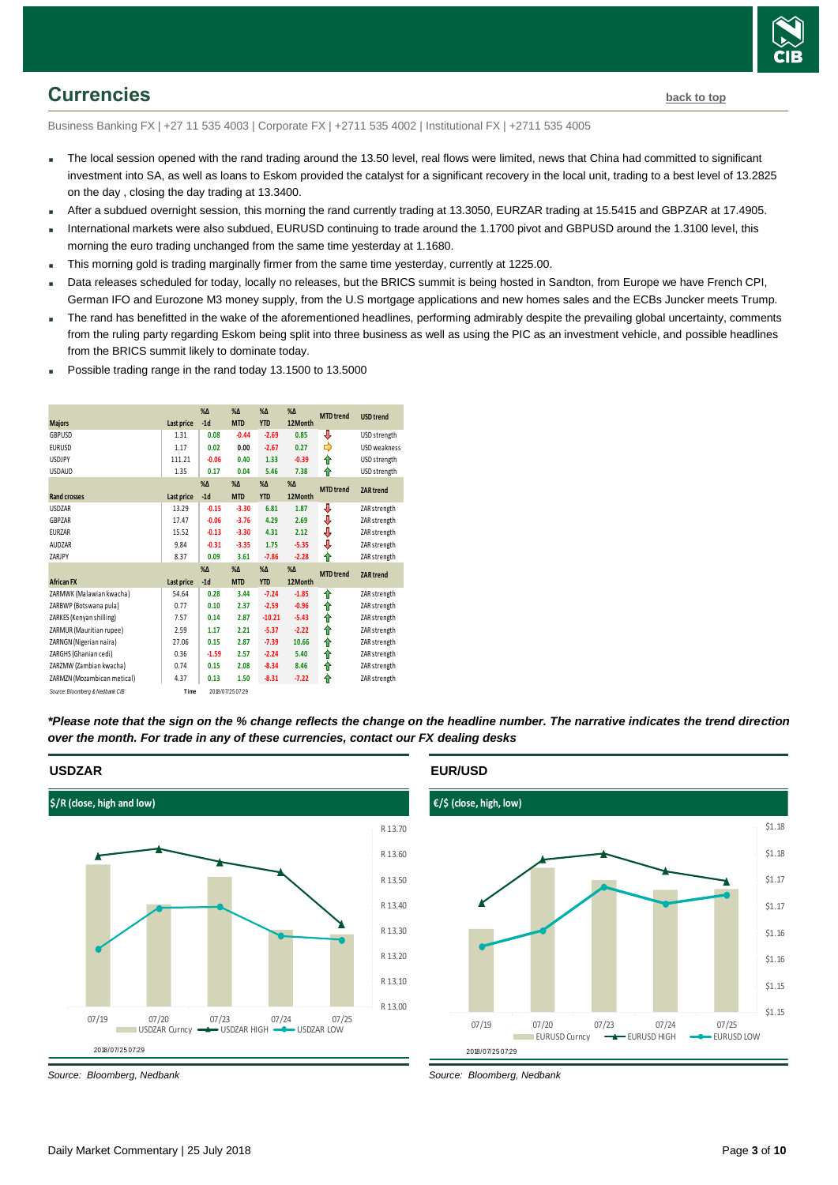

### <span id="page-2-0"></span>**Currencies [back to top](#page-0-0)**

Business Banking FX | +27 11 535 4003 | Corporate FX | +2711 535 4002 | Institutional FX | +2711 535 4005

- The local session opened with the rand trading around the 13.50 level, real flows were limited, news that China had committed to significant investment into SA, as well as loans to Eskom provided the catalyst for a significant recovery in the local unit, trading to a best level of 13.2825 on the day , closing the day trading at 13.3400.
- After a subdued overnight session, this morning the rand currently trading at 13.3050, EURZAR trading at 15.5415 and GBPZAR at 17.4905.
- International markets were also subdued, EURUSD continuing to trade around the 1.1700 pivot and GBPUSD around the 1.3100 level, this morning the euro trading unchanged from the same time yesterday at 1.1680.
- This morning gold is trading marginally firmer from the same time yesterday, currently at 1225.00.
- Data releases scheduled for today, locally no releases, but the BRICS summit is being hosted in Sandton, from Europe we have French CPI, German IFO and Eurozone M3 money supply, from the U.S mortgage applications and new homes sales and the ECBs Juncker meets Trump.
- The rand has benefitted in the wake of the aforementioned headlines, performing admirably despite the prevailing global uncertainty, comments from the ruling party regarding Eskom being split into three business as well as using the PIC as an investment vehicle, and possible headlines from the BRICS summit likely to dominate today.
- Possible trading range in the rand today 13.1500 to 13.5000

|                                 |                   | $%$ $\Delta$ | $%$ $\Delta$     | $%$ $\Delta$ | $% \Lambda$  | <b>MTD</b> trend | <b>USD trend</b>    |
|---------------------------------|-------------------|--------------|------------------|--------------|--------------|------------------|---------------------|
| <b>Majors</b>                   | <b>Last price</b> | $-1d$        | <b>MTD</b>       | <b>YTD</b>   | 12Month      |                  |                     |
| GBPUSD                          | 1.31              | 0.08         | $-0.44$          | $-2.69$      | 0.85         | ⇩                | USD strength        |
| <b>EURUSD</b>                   | 1.17              | 0.02         | 0.00             | $-2.67$      | 0.27         |                  | <b>USD</b> weakness |
| <b>USDJPY</b>                   | 111.21            | $-0.06$      | 0.40             | 1.33         | $-0.39$      | ↟                | USD strength        |
| <b>USDAUD</b>                   | 1.35              | 0.17         | 0.04             | 5.46         | 7.38         | ⇑                | USD strength        |
|                                 |                   | $%$ $\Delta$ | $%$ $\Delta$     | $%$ $\Delta$ | $%$ $\Delta$ | <b>MTD</b> trend | <b>ZAR</b> trend    |
| <b>Rand crosses</b>             | <b>Last price</b> | $-1d$        | <b>MTD</b>       | <b>YTD</b>   | 12Month      |                  |                     |
| <b>USDZAR</b>                   | 13.29             | $-0.15$      | $-3.30$          | 6.81         | 1.87         | ⇩                | ZAR strength        |
| GBPZAR                          | 17.47             | $-0.06$      | $-3.76$          | 4.29         | 2.69         | ⇩                | ZAR strength        |
| <b>EURZAR</b>                   | 15.52             | $-0.13$      | $-3.30$          | 4.31         | 2.12         | ⇓                | ZAR strength        |
| <b>AUDZAR</b>                   | 9.84              | $-0.31$      | $-3.35$          | 1.75         | $-5.35$      | ⇩                | ZAR strength        |
| ZARJPY                          | 8.37              | 0.09         | 3.61             | $-7.86$      | $-2.28$      | ⇑                | ZAR strength        |
|                                 |                   | $%$ $\Delta$ | $%$ $\Delta$     | $%$ $\Delta$ | $%$ $\Delta$ | <b>MTD</b> trend | <b>ZAR</b> trend    |
| <b>African FX</b>               | <b>Last price</b> | $-1d$        | <b>MTD</b>       | <b>YTD</b>   | 12Month      |                  |                     |
| ZARMWK (Malawian kwacha)        | 54.64             | 0.28         | 3.44             | $-7.24$      | $-1.85$      | ⇑                | ZAR strength        |
| ZARBWP (Botswana pula)          | 0.77              | 0.10         | 2.37             | $-2.59$      | $-0.96$      | ⇑                | ZAR strength        |
| ZARKES (Kenyan shilling)        | 7.57              | 0.14         | 2.87             | $-10.21$     | $-5.43$      | ⇑                | ZAR strength        |
| ZARMUR (Mauritian rupee)        | 2.59              | 1.17         | 2.21             | $-5.37$      | $-2.22$      | ⇑                | ZAR strength        |
| ZARNGN (Nigerian naira)         | 27.06             | 0.15         | 2.87             | $-7.39$      | 10.66        | ⇑                | ZAR strength        |
| ZARGHS (Ghanian cedi)           | 0.36              | $-1.59$      | 2.57             | $-2.24$      | 5.40         | ⇑                | ZAR strength        |
| ZARZMW (Zambian kwacha)         | 0.74              | 0.15         | 2.08             | $-8.34$      | 8.46         | ⇑                | ZAR strength        |
| ZARMZN (Mozambican metical)     | 4.37              | 0.13         | 1.50             | $-8.31$      | $-7.22$      | ⇑                | ZAR strength        |
| Source: Bloomberg & Nedbank CIB | Time              |              | 2018/07/25 07:29 |              |              |                  |                     |

*\*Please note that the sign on the % change reflects the change on the headline number. The narrative indicates the trend direction over the month. For trade in any of these currencies, contact our FX dealing desks*



#### **EUR/USD**



**USDZAR**

*Source: Bloomberg, Nedbank*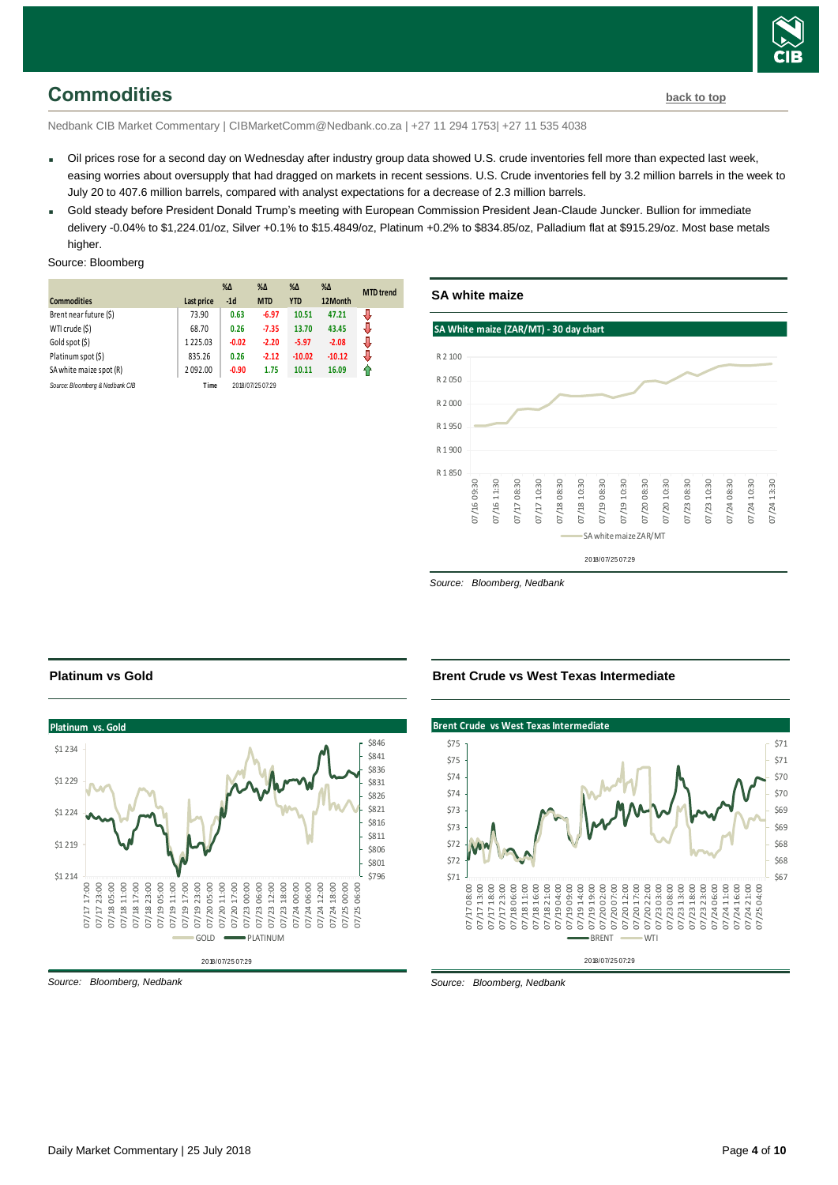

# <span id="page-3-0"></span>**Commodities [back to top](#page-0-0)**

Nedbank CIB Market Commentary | CIBMarketComm@Nedbank.co.za | +27 11 294 1753| +27 11 535 4038

- Oil prices rose for a second day on Wednesday after industry group data showed U.S. crude inventories fell more than expected last week, easing worries about oversupply that had dragged on markets in recent sessions. U.S. Crude inventories fell by 3.2 million barrels in the week to July 20 to 407.6 million barrels, compared with analyst expectations for a decrease of 2.3 million barrels.
- Gold steady before President Donald Trump's meeting with European Commission President Jean-Claude Juncker. Bullion for immediate delivery -0.04% to \$1,224.01/oz, Silver +0.1% to \$15.4849/oz, Platinum +0.2% to \$834.85/oz, Palladium flat at \$915.29/oz. Most base metals higher.

#### Source: Bloomberg

|                                 |            | $% \Delta$ | $\%$ $\Delta$    | %Δ         | $\% \Delta$ | <b>MTD</b> trend |
|---------------------------------|------------|------------|------------------|------------|-------------|------------------|
| <b>Commodities</b>              | Last price | $-1d$      | <b>MTD</b>       | <b>YTD</b> | 12Month     |                  |
| Brent near future (\$)          | 73.90      | 0.63       | $-6.97$          | 10.51      | 47.21       | J                |
| WTI crude (\$)                  | 68.70      | 0.26       | $-7.35$          | 13.70      | 43.45       | J                |
| Gold spot (\$)                  | 1225.03    | $-0.02$    | $-2.20$          | $-5.97$    | $-2.08$     | J                |
| Platinum spot (\$)              | 835.26     | 0.26       | $-2.12$          | $-10.02$   | $-10.12$    | J                |
| SA white maize spot (R)         | 2092.00    | $-0.90$    | 1.75             | 10.11      | 16.09       | 11               |
| Source: Bloomberg & Nedbank CIB | Time       |            | 2018/07/25 07:29 |            |             |                  |



*Source: Bloomberg, Nedbank*



**Platinum vs Gold**

*Source: Bloomberg, Nedbank*

#### **Brent Crude vs West Texas Intermediate**

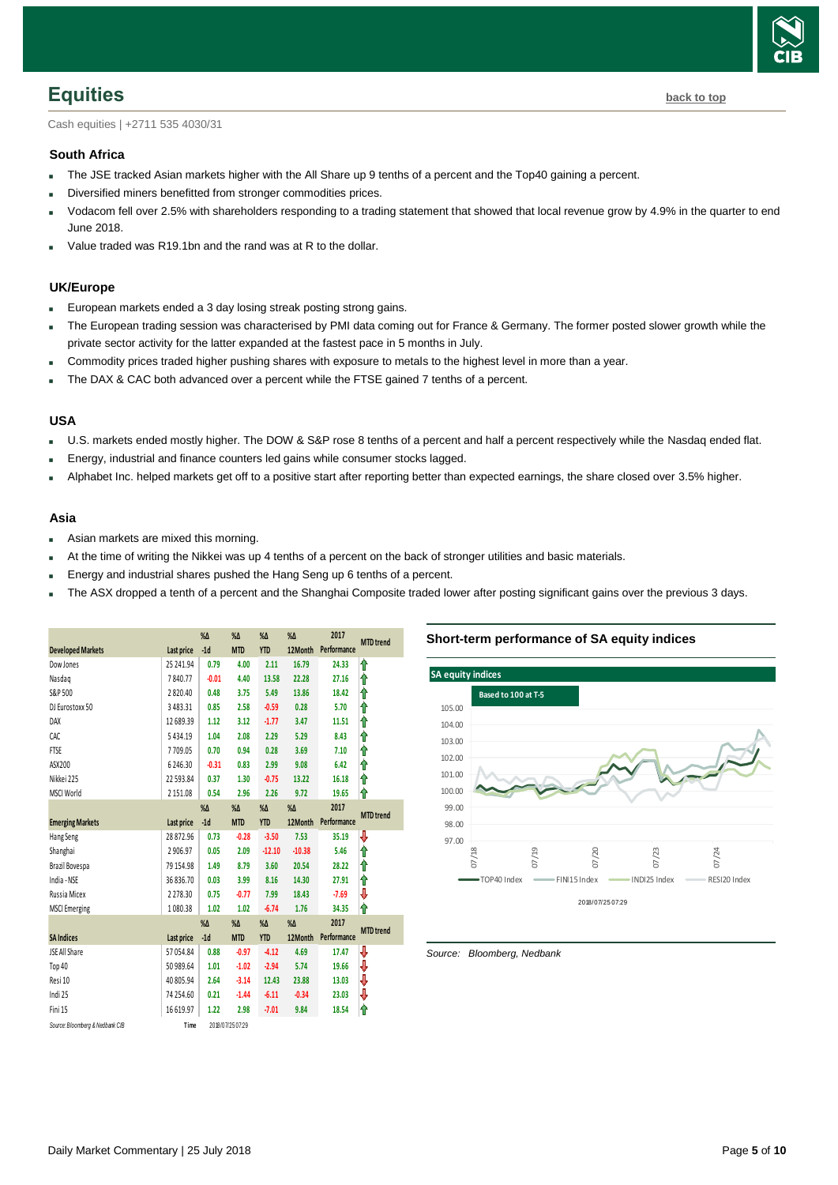

## <span id="page-4-0"></span>**Equities [back to top](#page-0-0)**

Cash equities | +2711 535 4030/31

#### **South Africa**

- The JSE tracked Asian markets higher with the All Share up 9 tenths of a percent and the Top40 gaining a percent.
- Diversified miners benefitted from stronger commodities prices.
- Vodacom fell over 2.5% with shareholders responding to a trading statement that showed that local revenue grow by 4.9% in the quarter to end June 2018.
- Value traded was R19.1bn and the rand was at R to the dollar.

#### **UK/Europe**

- **European markets ended a 3 day losing streak posting strong gains.**
- The European trading session was characterised by PMI data coming out for France & Germany. The former posted slower growth while the private sector activity for the latter expanded at the fastest pace in 5 months in July.
- Commodity prices traded higher pushing shares with exposure to metals to the highest level in more than a year.
- The DAX & CAC both advanced over a percent while the FTSE gained 7 tenths of a percent.

#### **USA**

- U.S. markets ended mostly higher. The DOW & S&P rose 8 tenths of a percent and half a percent respectively while the Nasdaq ended flat.
- Energy, industrial and finance counters led gains while consumer stocks lagged.
- Alphabet Inc. helped markets get off to a positive start after reporting better than expected earnings, the share closed over 3.5% higher.

#### **Asia**

- Asian markets are mixed this morning.
- At the time of writing the Nikkei was up 4 tenths of a percent on the back of stronger utilities and basic materials.
- Energy and industrial shares pushed the Hang Seng up 6 tenths of a percent.
- The ASX dropped a tenth of a percent and the Shanghai Composite traded lower after posting significant gains over the previous 3 days.

<span id="page-4-1"></span>

|                                 |            | $% \Delta$ | $% \Delta$       | $% \Delta$    | $% \Delta$    | 2017        |                  |
|---------------------------------|------------|------------|------------------|---------------|---------------|-------------|------------------|
| <b>Developed Markets</b>        | Last price | $-1d$      | <b>MTD</b>       | <b>YTD</b>    | 12Month       | Performance | <b>MTD</b> trend |
| Dow Jones                       | 25 24 1.94 | 0.79       | 4.00             | 2.11          | 16.79         | 24.33       | ⇑                |
| Nasdag                          | 7840.77    | $-0.01$    | 4.40             | 13.58         | 22.28         | 27.16       | ⇑                |
| S&P 500                         | 2820.40    | 0.48       | 3.75             | 5.49          | 13.86         | 18.42       | ⋔                |
| DJ Eurostoxx 50                 | 3483.31    | 0.85       | 2.58             | $-0.59$       | 0.28          | 5.70        | ⇑                |
| DAX                             | 12 689.39  | 1.12       | 3.12             | $-1.77$       | 3.47          | 11.51       | ⇑                |
| CAC                             | 5434.19    | 1.04       | 2.08             | 2.29          | 5.29          | 8.43        | ⇑                |
| <b>FTSE</b>                     | 7709.05    | 0.70       | 0.94             | 0.28          | 3.69          | 7.10        | ⇑                |
| ASX200                          | 6246.30    | $-0.31$    | 0.83             | 2.99          | 9.08          | 6.42        | ⇑                |
| Nikkei 225                      | 22593.84   | 0.37       | 1.30             | $-0.75$       | 13.22         | 16.18       | ⋔                |
| MSCI World                      | 2151.08    | 0.54       | 2.96             | 2.26          | 9.72          | 19.65       | ⋔                |
|                                 |            | $% \Delta$ | $\%$ $\Delta$    | $\%$ $\Delta$ | $\%$ $\Delta$ | 2017        |                  |
| <b>Emerging Markets</b>         | Last price | $-1d$      | <b>MTD</b>       | <b>YTD</b>    | 12Month       | Performance | <b>MTD</b> trend |
| Hang Seng                       | 28872.96   | 0.73       | $-0.28$          | $-3.50$       | 7.53          | 35.19       | J                |
| Shanghai                        | 2906.97    | 0.05       | 2.09             | $-12.10$      | $-10.38$      | 5.46        | ⇑                |
| Brazil Bovespa                  | 79 154.98  | 1.49       | 8.79             | 3.60          | 20.54         | 28.22       | ⇑                |
| India - NSE                     | 36 836.70  | 0.03       | 3.99             | 8.16          | 14.30         | 27.91       | ⇑                |
| Russia Micex                    | 2278.30    | 0.75       | $-0.77$          | 7.99          | 18.43         | $-7.69$     | ₩                |
| <b>MSCI</b> Emerging            | 1080.38    | 1.02       | 1.02             | $-6.74$       | 1.76          | 34.35       | ⇑                |
|                                 |            | $% \Delta$ | %Δ               | $% \Delta$    | $% \Delta$    | 2017        |                  |
| <b>SA Indices</b>               | Last price | $-1d$      | <b>MTD</b>       | <b>YTD</b>    | 12Month       | Performance | <b>MTD</b> trend |
| JSE All Share                   | 57054.84   | 0.88       | $-0.97$          | $-4.12$       | 4.69          | 17.47       | ⇩                |
| Top 40                          | 50 989.64  | 1.01       | $-1.02$          | $-2.94$       | 5.74          | 19.66       | ₩                |
| Resi 10                         | 40 805.94  | 2.64       | $-3.14$          | 12.43         | 23.88         | 13.03       | ⇩                |
| Indi 25                         | 74 254.60  | 0.21       | $-1.44$          | $-6.11$       | $-0.34$       | 23.03       | ⇩                |
| Fini 15                         | 16619.97   | 1.22       | 2.98             | $-7.01$       | 9.84          | 18.54       | ⇑                |
| Source: Bloomberg & Nedbank CIB | Time       |            | 2018/07/25 07:29 |               |               |             |                  |

#### **Short-term performance of SA equity indices**

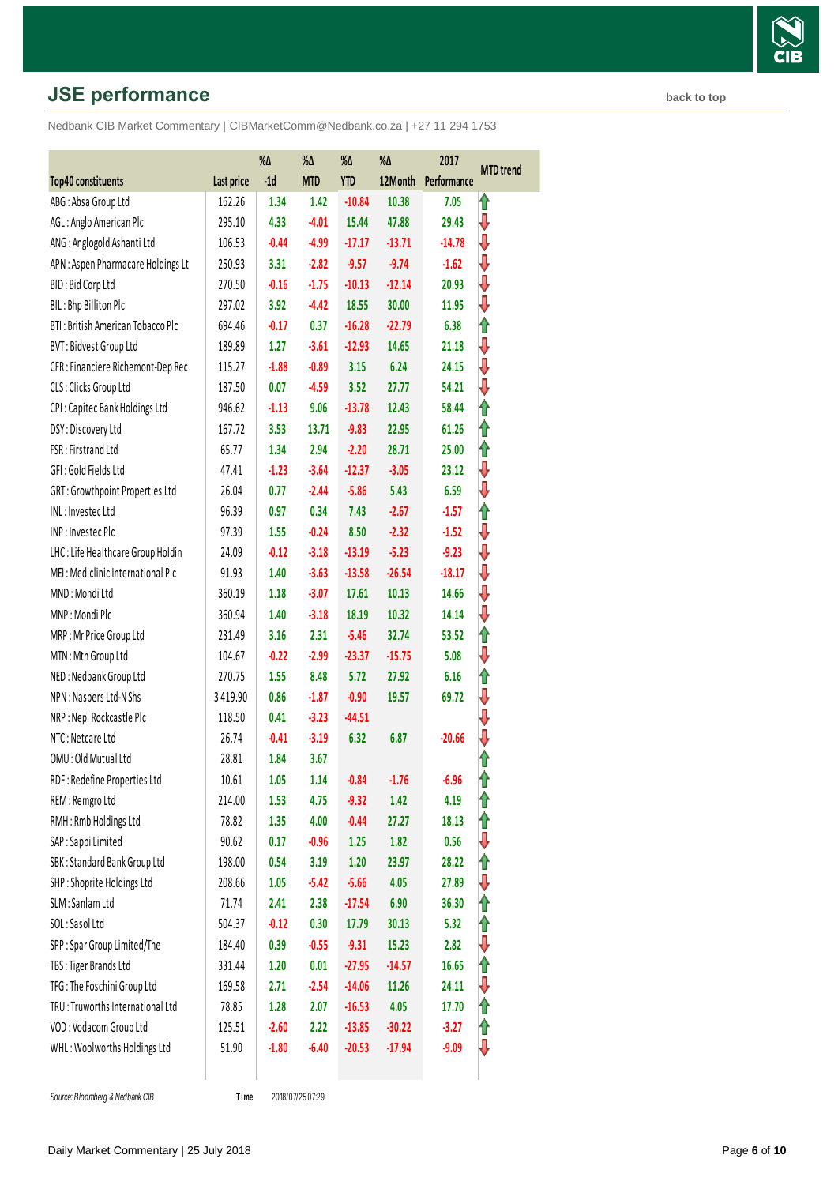# **JSE performance [back to top](#page-0-0) back to top**

Nedbank CIB Market Commentary | CIBMarketComm@Nedbank.co.za | +27 11 294 1753

|                                    |            | %Δ      | %Δ         | %Δ         | %Δ       | 2017        | <b>MTD</b> trend |
|------------------------------------|------------|---------|------------|------------|----------|-------------|------------------|
| Top40 constituents                 | Last price | $-1d$   | <b>MTD</b> | <b>YTD</b> | 12Month  | Performance |                  |
| ABG: Absa Group Ltd                | 162.26     | 1.34    | 1.42       | $-10.84$   | 10.38    | 7.05        | ⋔                |
| AGL: Anglo American Plc            | 295.10     | 4.33    | $-4.01$    | 15.44      | 47.88    | 29.43       | ⇩                |
| ANG: Anglogold Ashanti Ltd         | 106.53     | $-0.44$ | $-4.99$    | $-17.17$   | $-13.71$ | $-14.78$    | ⇓                |
| APN : Aspen Pharmacare Holdings Lt | 250.93     | 3.31    | $-2.82$    | $-9.57$    | $-9.74$  | $-1.62$     | ⇩                |
| BID: Bid Corp Ltd                  | 270.50     | $-0.16$ | $-1.75$    | $-10.13$   | $-12.14$ | 20.93       | ⇩                |
| BIL: Bhp Billiton Plc              | 297.02     | 3.92    | $-4.42$    | 18.55      | 30.00    | 11.95       | ⇩                |
| BTI: British American Tobacco Plc  | 694.46     | $-0.17$ | 0.37       | $-16.28$   | $-22.79$ | 6.38        | ⇑                |
| BVT: Bidvest Group Ltd             | 189.89     | 1.27    | $-3.61$    | $-12.93$   | 14.65    | 21.18       | ⇩                |
| CFR : Financiere Richemont-Dep Rec | 115.27     | $-1.88$ | $-0.89$    | 3.15       | 6.24     | 24.15       | ⇩                |
| CLS: Clicks Group Ltd              | 187.50     | 0.07    | $-4.59$    | 3.52       | 27.77    | 54.21       | ⇩                |
| CPI: Capitec Bank Holdings Ltd     | 946.62     | $-1.13$ | 9.06       | $-13.78$   | 12.43    | 58.44       | ⇑                |
| DSY: Discovery Ltd                 | 167.72     | 3.53    | 13.71      | $-9.83$    | 22.95    | 61.26       | ⇑                |
| FSR: Firstrand Ltd                 | 65.77      | 1.34    | 2.94       | $-2.20$    | 28.71    | 25.00       | ⇑                |
| GFI: Gold Fields Ltd               | 47.41      | $-1.23$ | $-3.64$    | $-12.37$   | $-3.05$  | 23.12       | ⇩                |
| GRT: Growthpoint Properties Ltd    | 26.04      | 0.77    | $-2.44$    | $-5.86$    | 5.43     | 6.59        | ⇩                |
| INL: Investec Ltd                  | 96.39      | 0.97    | 0.34       | 7.43       | $-2.67$  | $-1.57$     | ⇑                |
| INP: Investec Plc                  | 97.39      | 1.55    | $-0.24$    | 8.50       | $-2.32$  | $-1.52$     | ⇩                |
| LHC: Life Healthcare Group Holdin  | 24.09      | $-0.12$ | $-3.18$    | $-13.19$   | $-5.23$  | $-9.23$     | ⇩                |
| MEI: Mediclinic International Plc  | 91.93      | 1.40    | $-3.63$    | $-13.58$   | $-26.54$ | $-18.17$    | ⇩                |
| MND: Mondi Ltd                     | 360.19     | 1.18    | $-3.07$    | 17.61      | 10.13    | 14.66       | ⇩                |
| MNP: Mondi Plc                     | 360.94     | 1.40    | $-3.18$    | 18.19      | 10.32    | 14.14       | ⇩                |
| MRP: Mr Price Group Ltd            | 231.49     | 3.16    | 2.31       | $-5.46$    | 32.74    | 53.52       | ⇑                |
| MTN: Mtn Group Ltd                 | 104.67     | $-0.22$ | $-2.99$    | $-23.37$   | $-15.75$ | 5.08        | ⇩                |
| NED: Nedbank Group Ltd             | 270.75     | 1.55    | 8.48       | 5.72       | 27.92    | 6.16        | ⇑                |
| NPN: Naspers Ltd-N Shs             | 3419.90    | 0.86    | $-1.87$    | $-0.90$    | 19.57    | 69.72       | ⇓                |
| NRP : Nepi Rockcastle Plc          | 118.50     | 0.41    | $-3.23$    | $-44.51$   |          |             | ⇩                |
| NTC: Netcare Ltd                   | 26.74      | $-0.41$ | $-3.19$    | 6.32       | 6.87     | $-20.66$    | ⇩                |
| OMU: Old Mutual Ltd                | 28.81      | 1.84    | 3.67       |            |          |             |                  |
| RDF: Redefine Properties Ltd       | 10.61      | 1.05    | 1.14       | $-0.84$    | $-1.76$  | $-6.96$     | 1                |
| REM: Remgro Ltd                    | 214.00     | 1.53    | 4.75       | $-9.32$    | 1.42     | 4.19        | ⇑                |
| RMH: Rmb Holdings Ltd              | 78.82      | 1.35    | 4.00       | $-0.44$    | 27.27    | 18.13       | ⇑                |
| SAP : Sappi Limited                | 90.62      | 0.17    | $-0.96$    | 1.25       | 1.82     | 0.56        | ⇩                |
| SBK: Standard Bank Group Ltd       | 198.00     | 0.54    | 3.19       | 1.20       | 23.97    | 28.22       | ⇑                |
| SHP: Shoprite Holdings Ltd         | 208.66     | 1.05    | $-5.42$    | $-5.66$    | 4.05     | 27.89       | ⇓                |
| SLM: Sanlam Ltd                    | 71.74      | 2.41    | 2.38       | $-17.54$   | 6.90     | 36.30       | ⇑                |
| SOL: Sasol Ltd                     | 504.37     | $-0.12$ | 0.30       | 17.79      | 30.13    | 5.32        | ⇑                |
| SPP: Spar Group Limited/The        | 184.40     | 0.39    | $-0.55$    | $-9.31$    | 15.23    | 2.82        | ⇩                |
| TBS: Tiger Brands Ltd              | 331.44     | 1.20    | 0.01       | $-27.95$   | $-14.57$ | 16.65       | ⇑                |
| TFG: The Foschini Group Ltd        | 169.58     | 2.71    | $-2.54$    | $-14.06$   | 11.26    | 24.11       | ⇩                |
| TRU : Truworths International Ltd  | 78.85      | 1.28    | 2.07       | $-16.53$   | 4.05     | 17.70       | ⇑                |
| VOD: Vodacom Group Ltd             | 125.51     | $-2.60$ | 2.22       | $-13.85$   | $-30.22$ | $-3.27$     | ⋔                |
| WHL: Woolworths Holdings Ltd       | 51.90      | $-1.80$ | $-6.40$    | $-20.53$   | $-17.94$ | $-9.09$     | ₩                |
|                                    |            |         |            |            |          |             |                  |

*Source: Bloomberg & Nedbank CIB* **Time**

2018/07/25 07:29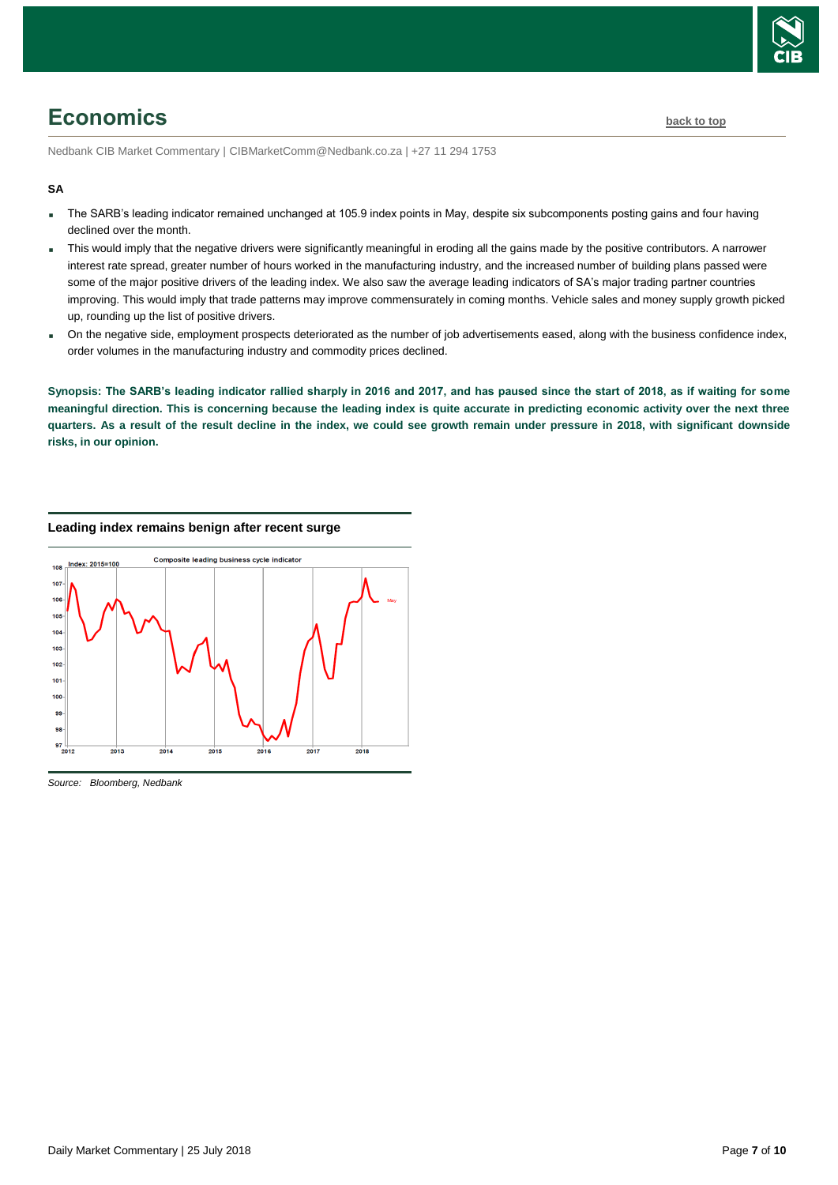

# <span id="page-6-0"></span>**Economics [back to top](#page-0-0)**

Nedbank CIB Market Commentary | CIBMarketComm@Nedbank.co.za | +27 11 294 1753

#### **SA**

- The SARB's leading indicator remained unchanged at 105.9 index points in May, despite six subcomponents posting gains and four having declined over the month.
- This would imply that the negative drivers were significantly meaningful in eroding all the gains made by the positive contributors. A narrower interest rate spread, greater number of hours worked in the manufacturing industry, and the increased number of building plans passed were some of the major positive drivers of the leading index. We also saw the average leading indicators of SA's major trading partner countries improving. This would imply that trade patterns may improve commensurately in coming months. Vehicle sales and money supply growth picked up, rounding up the list of positive drivers.
- On the negative side, employment prospects deteriorated as the number of job advertisements eased, along with the business confidence index, order volumes in the manufacturing industry and commodity prices declined.

**Synopsis: The SARB's leading indicator rallied sharply in 2016 and 2017, and has paused since the start of 2018, as if waiting for some meaningful direction. This is concerning because the leading index is quite accurate in predicting economic activity over the next three quarters. As a result of the result decline in the index, we could see growth remain under pressure in 2018, with significant downside risks, in our opinion.** 

#### **Leading index remains benign after recent surge**

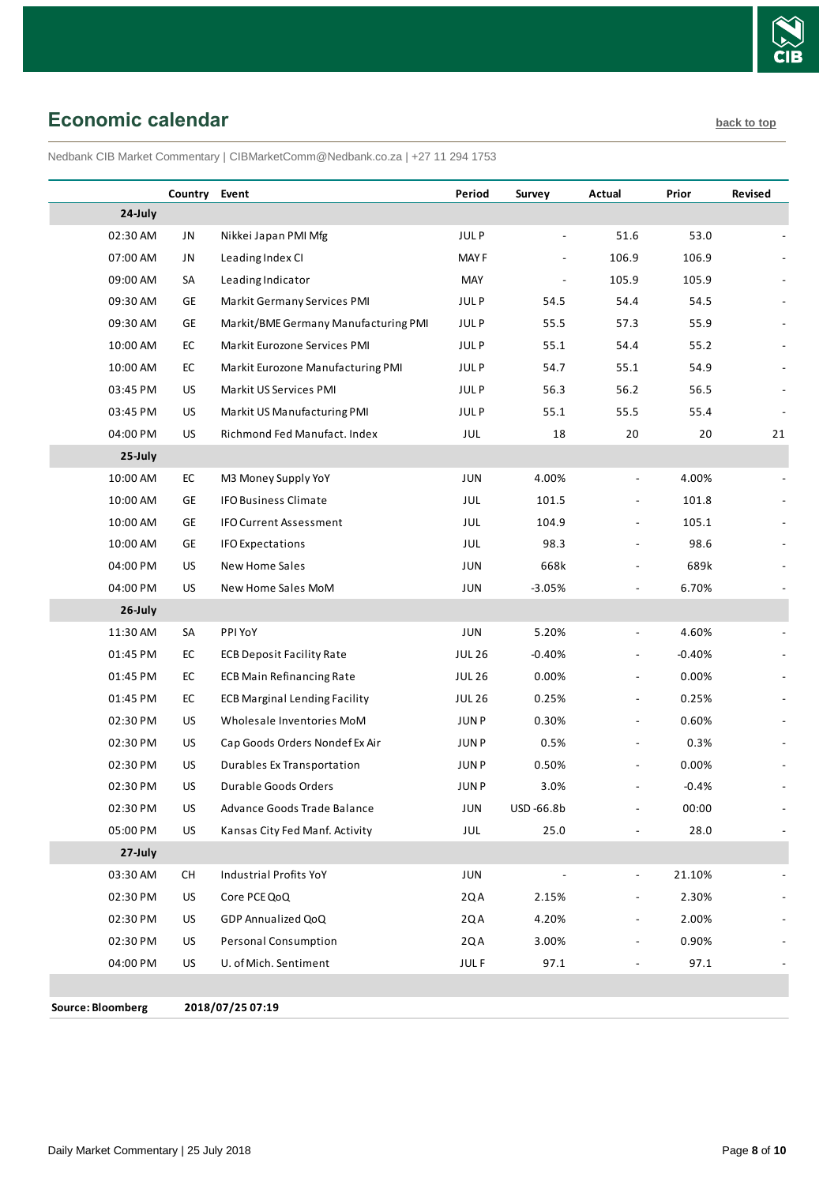

# <span id="page-7-0"></span>**Economic calendar [back to top](#page-0-0) back to top**

Nedbank CIB Market Commentary | CIBMarketComm@Nedbank.co.za | +27 11 294 1753

|                   | Country Event |                                      | Period        | Survey    | Actual                   | Prior    | <b>Revised</b> |
|-------------------|---------------|--------------------------------------|---------------|-----------|--------------------------|----------|----------------|
| 24-July           |               |                                      |               |           |                          |          |                |
| 02:30 AM          | JN            | Nikkei Japan PMI Mfg                 | <b>JULP</b>   |           | 51.6                     | 53.0     |                |
| 07:00 AM          | JN            | Leading Index CI                     | <b>MAYF</b>   |           | 106.9                    | 106.9    |                |
| 09:00 AM          | SA            | Leading Indicator                    | MAY           |           | 105.9                    | 105.9    |                |
| 09:30 AM          | GE            | Markit Germany Services PMI          | <b>JULP</b>   | 54.5      | 54.4                     | 54.5     |                |
| 09:30 AM          | GE            | Markit/BME Germany Manufacturing PMI | JUL P         | 55.5      | 57.3                     | 55.9     |                |
| 10:00 AM          | EC            | Markit Eurozone Services PMI         | <b>JULP</b>   | 55.1      | 54.4                     | 55.2     |                |
| 10:00 AM          | EC            | Markit Eurozone Manufacturing PMI    | <b>JULP</b>   | 54.7      | 55.1                     | 54.9     |                |
| 03:45 PM          | <b>US</b>     | Markit US Services PMI               | <b>JULP</b>   | 56.3      | 56.2                     | 56.5     |                |
| 03:45 PM          | US            | Markit US Manufacturing PMI          | JUL P         | 55.1      | 55.5                     | 55.4     |                |
| 04:00 PM          | US            | Richmond Fed Manufact. Index         | JUL           | 18        | 20                       | 20       | 21             |
| 25-July           |               |                                      |               |           |                          |          |                |
| 10:00 AM          | EC            | M3 Money Supply YoY                  | <b>JUN</b>    | 4.00%     | $\overline{\phantom{a}}$ | 4.00%    |                |
| 10:00 AM          | GE            | <b>IFO Business Climate</b>          | <b>JUL</b>    | 101.5     |                          | 101.8    |                |
| 10:00 AM          | GE            | <b>IFO Current Assessment</b>        | JUL           | 104.9     |                          | 105.1    |                |
| 10:00 AM          | GE            | <b>IFO Expectations</b>              | <b>JUL</b>    | 98.3      | $\overline{\phantom{a}}$ | 98.6     |                |
| 04:00 PM          | US            | New Home Sales                       | JUN           | 668k      |                          | 689k     |                |
| 04:00 PM          | US            | New Home Sales MoM                   | JUN           | $-3.05%$  |                          | 6.70%    |                |
| 26-July           |               |                                      |               |           |                          |          |                |
| 11:30 AM          | SA            | PPI YoY                              | <b>JUN</b>    | 5.20%     | $\overline{\phantom{a}}$ | 4.60%    |                |
| 01:45 PM          | EC            | <b>ECB Deposit Facility Rate</b>     | <b>JUL 26</b> | $-0.40%$  | $\overline{\phantom{0}}$ | $-0.40%$ |                |
| 01:45 PM          | EC            | <b>ECB Main Refinancing Rate</b>     | <b>JUL 26</b> | 0.00%     | $\overline{\phantom{a}}$ | 0.00%    |                |
| 01:45 PM          | EC            | <b>ECB Marginal Lending Facility</b> | <b>JUL 26</b> | 0.25%     | $\overline{\phantom{a}}$ | 0.25%    |                |
| 02:30 PM          | US            | Wholesale Inventories MoM            | <b>JUNP</b>   | 0.30%     | $\overline{\phantom{a}}$ | 0.60%    |                |
| 02:30 PM          | US            | Cap Goods Orders Nondef Ex Air       | JUN P         | 0.5%      | $\blacksquare$           | 0.3%     |                |
| 02:30 PM          | US            | <b>Durables Ex Transportation</b>    | <b>JUNP</b>   | 0.50%     | $\overline{\phantom{a}}$ | 0.00%    |                |
| 02:30 PM          | US            | <b>Durable Goods Orders</b>          | <b>JUNP</b>   | 3.0%      |                          | $-0.4%$  |                |
| 02:30 PM          | US            | Advance Goods Trade Balance          | JUN           | USD-66.8b |                          | 00:00    |                |
| 05:00 PM          | US            | Kansas City Fed Manf. Activity       | JUL           | 25.0      |                          | 28.0     |                |
| 27-July           |               |                                      |               |           |                          |          |                |
| 03:30 AM          | CH            | Industrial Profits YoY               | JUN           |           | $\overline{\phantom{a}}$ | 21.10%   |                |
| 02:30 PM          | US            | Core PCE QoQ                         | 2QA           | 2.15%     |                          | 2.30%    |                |
| 02:30 PM          | US            | GDP Annualized QoQ                   | 2QA           | 4.20%     |                          | 2.00%    |                |
| 02:30 PM          | US            | Personal Consumption                 | 2QA           | 3.00%     | $\overline{\phantom{a}}$ | 0.90%    |                |
| 04:00 PM          | US            | U. of Mich. Sentiment                | <b>JULF</b>   | 97.1      |                          | 97.1     |                |
|                   |               |                                      |               |           |                          |          |                |
| Source: Bloomberg |               | 2018/07/25 07:19                     |               |           |                          |          |                |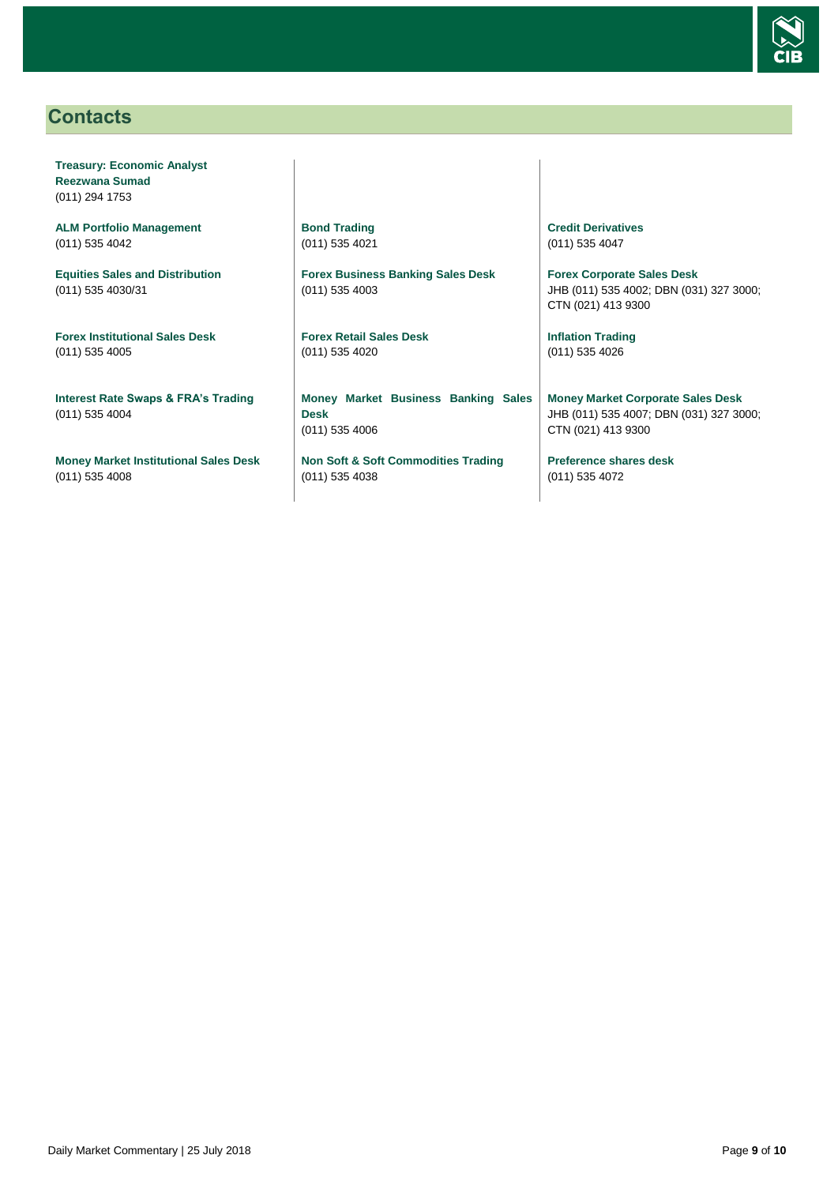

# <span id="page-8-0"></span>**Contacts**

**Treasury: Economic Analyst Reezwana Sumad** (011) 294 1753

**ALM Portfolio Management** (011) 535 4042

**Equities Sales and Distribution** (011) 535 4030/31

**Forex Institutional Sales Desk** (011) 535 4005

**Interest Rate Swaps & FRA's Trading** (011) 535 4004

**Money Market Institutional Sales Desk** (011) 535 4008

**Bond Trading** (011) 535 4021

**Forex Business Banking Sales Desk** (011) 535 4003

**Forex Retail Sales Desk** (011) 535 4020

**Money Market Business Banking Sales Desk** (011) 535 4006

**Non Soft & Soft Commodities Trading** (011) 535 4038

**Credit Derivatives**  (011) 535 4047

**Forex Corporate Sales Desk** JHB (011) 535 4002; DBN (031) 327 3000; CTN (021) 413 9300

**Inflation Trading** (011) 535 4026

**Money Market Corporate Sales Desk** JHB (011) 535 4007; DBN (031) 327 3000; CTN (021) 413 9300

**Preference shares desk** (011) 535 4072